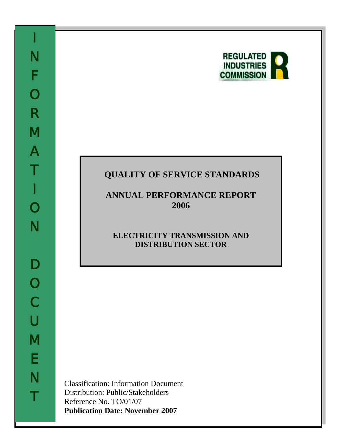

# **QUALITY OF SERVICE STANDARDS**

**ANNUAL PERFORMANCE REPORT 2006**

# **ELECTRICITY TRANSMISSION AND DISTRIBUTION SECTOR**

Classification: Information Document Distribution: Public/Stakeholders Reference No. TO/01/07 **Publication Date: November 2007**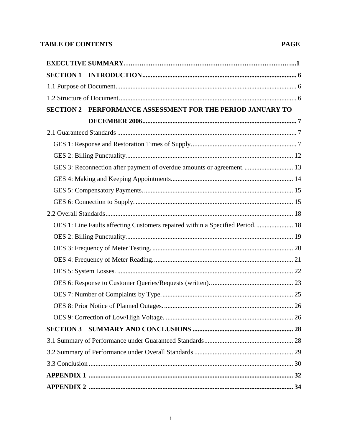# **TABLE OF CONTENTS**

# **PAGE**

| PERFORMANCE ASSESSMENT FOR THE PERIOD JANUARY TO<br><b>SECTION 2</b>         |  |
|------------------------------------------------------------------------------|--|
|                                                                              |  |
|                                                                              |  |
|                                                                              |  |
|                                                                              |  |
| GES 3: Reconnection after payment of overdue amounts or agreement 13         |  |
|                                                                              |  |
|                                                                              |  |
|                                                                              |  |
|                                                                              |  |
| OES 1: Line Faults affecting Customers repaired within a Specified Period 18 |  |
|                                                                              |  |
|                                                                              |  |
|                                                                              |  |
|                                                                              |  |
|                                                                              |  |
|                                                                              |  |
|                                                                              |  |
|                                                                              |  |
|                                                                              |  |
|                                                                              |  |
|                                                                              |  |
|                                                                              |  |
|                                                                              |  |
|                                                                              |  |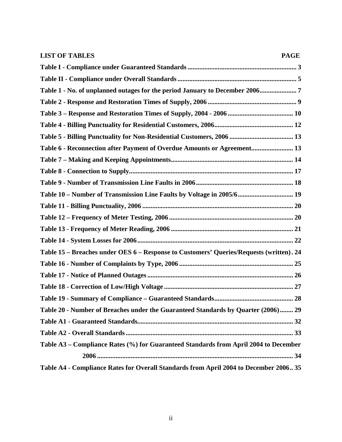| <b>LIST OF TABLES</b><br><b>PAGE</b>                                                    |
|-----------------------------------------------------------------------------------------|
|                                                                                         |
|                                                                                         |
| Table 1 - No. of unplanned outages for the period January to December 20067             |
|                                                                                         |
|                                                                                         |
|                                                                                         |
|                                                                                         |
| Table 6 - Reconnection after Payment of Overdue Amounts or Agreement 13                 |
|                                                                                         |
|                                                                                         |
|                                                                                         |
| Table 10 - Number of Transmission Line Faults by Voltage in 2005/6 19                   |
|                                                                                         |
|                                                                                         |
|                                                                                         |
|                                                                                         |
| Table 15 - Breaches under OES 6 - Response to Customers' Queries/Requests (written). 24 |
|                                                                                         |
|                                                                                         |
|                                                                                         |
|                                                                                         |
| Table 20 - Number of Breaches under the Guaranteed Standards by Quarter (2006) 29       |
|                                                                                         |
|                                                                                         |
| Table A3 - Compliance Rates (%) for Guaranteed Standards from April 2004 to December    |
|                                                                                         |
| Table A4 - Compliance Rates for Overall Standards from April 2004 to December 2006 35   |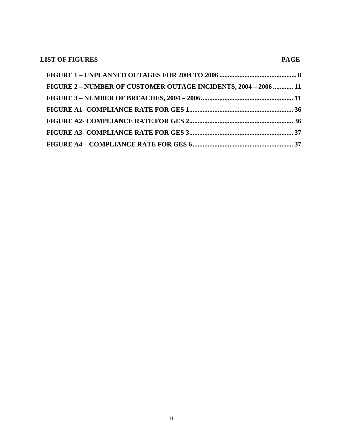| <b>LIST OF FIGURES</b>                                          | <b>PAGE</b> |
|-----------------------------------------------------------------|-------------|
|                                                                 |             |
| FIGURE 2 - NUMBER OF CUSTOMER OUTAGE INCIDENTS, 2004 - 2006  11 |             |
|                                                                 |             |
|                                                                 |             |
|                                                                 |             |
|                                                                 |             |
|                                                                 |             |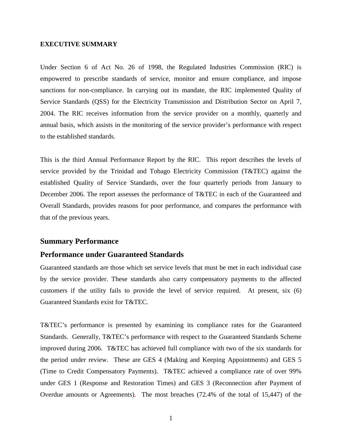### **EXECUTIVE SUMMARY**

Under Section 6 of Act No. 26 of 1998, the Regulated Industries Commission (RIC) is empowered to prescribe standards of service, monitor and ensure compliance, and impose sanctions for non-compliance. In carrying out its mandate, the RIC implemented Quality of Service Standards (QSS) for the Electricity Transmission and Distribution Sector on April 7, 2004. The RIC receives information from the service provider on a monthly, quarterly and annual basis, which assists in the monitoring of the service provider's performance with respect to the established standards.

This is the third Annual Performance Report by the RIC. This report describes the levels of service provided by the Trinidad and Tobago Electricity Commission (T&TEC) against the established Quality of Service Standards, over the four quarterly periods from January to December 2006. The report assesses the performance of T&TEC in each of the Guaranteed and Overall Standards, provides reasons for poor performance, and compares the performance with that of the previous years.

## **Summary Performance**

### **Performance under Guaranteed Standards**

Guaranteed standards are those which set service levels that must be met in each individual case by the service provider. These standards also carry compensatory payments to the affected customers if the utility fails to provide the level of service required. At present, six (6) Guaranteed Standards exist for T&TEC.

T&TEC's performance is presented by examining its compliance rates for the Guaranteed Standards. Generally, T&TEC's performance with respect to the Guaranteed Standards Scheme improved during 2006. T&TEC has achieved full compliance with two of the six standards for the period under review. These are GES 4 (Making and Keeping Appointments) and GES 5 (Time to Credit Compensatory Payments). T&TEC achieved a compliance rate of over 99% under GES 1 (Response and Restoration Times) and GES 3 (Reconnection after Payment of Overdue amounts or Agreements). The most breaches (72.4% of the total of 15,447) of the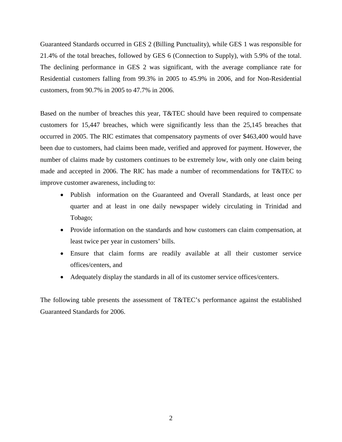Guaranteed Standards occurred in GES 2 (Billing Punctuality), while GES 1 was responsible for 21.4% of the total breaches, followed by GES 6 (Connection to Supply), with 5.9% of the total. The declining performance in GES 2 was significant, with the average compliance rate for Residential customers falling from 99.3% in 2005 to 45.9% in 2006, and for Non-Residential customers, from 90.7% in 2005 to 47.7% in 2006.

Based on the number of breaches this year, T&TEC should have been required to compensate customers for 15,447 breaches, which were significantly less than the 25,145 breaches that occurred in 2005. The RIC estimates that compensatory payments of over \$463,400 would have been due to customers, had claims been made, verified and approved for payment. However, the number of claims made by customers continues to be extremely low, with only one claim being made and accepted in 2006. The RIC has made a number of recommendations for T&TEC to improve customer awareness, including to:

- Publish information on the Guaranteed and Overall Standards, at least once per quarter and at least in one daily newspaper widely circulating in Trinidad and Tobago;
- Provide information on the standards and how customers can claim compensation, at least twice per year in customers' bills.
- Ensure that claim forms are readily available at all their customer service offices/centers, and
- Adequately display the standards in all of its customer service offices/centers.

The following table presents the assessment of T&TEC's performance against the established Guaranteed Standards for 2006.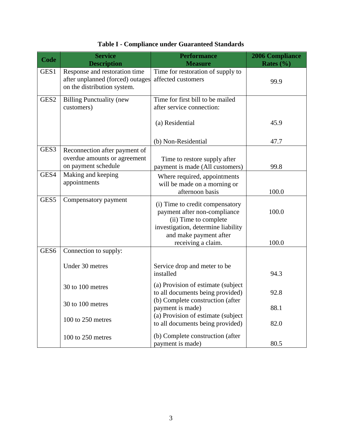<span id="page-6-0"></span>

| Code             | <b>Service</b><br><b>Description</b>                                                             | <b>Performance</b><br><b>Measure</b>                                                                                                                     | <b>2006 Compliance</b><br>Rates $(\% )$ |
|------------------|--------------------------------------------------------------------------------------------------|----------------------------------------------------------------------------------------------------------------------------------------------------------|-----------------------------------------|
| GES1             | Response and restoration time<br>after unplanned (forced) outages<br>on the distribution system. | Time for restoration of supply to<br>affected customers                                                                                                  | 99.9                                    |
| GES <sub>2</sub> | <b>Billing Punctuality (new</b><br>customers)                                                    | Time for first bill to be mailed<br>after service connection:                                                                                            |                                         |
|                  |                                                                                                  | (a) Residential                                                                                                                                          | 45.9                                    |
|                  |                                                                                                  | (b) Non-Residential                                                                                                                                      | 47.7                                    |
| GES3             | Reconnection after payment of<br>overdue amounts or agreement<br>on payment schedule             | Time to restore supply after<br>payment is made (All customers)                                                                                          | 99.8                                    |
| GES4             | Making and keeping<br>appointments                                                               | Where required, appointments<br>will be made on a morning or<br>afternoon basis                                                                          | 100.0                                   |
| GES <sub>5</sub> | Compensatory payment                                                                             | (i) Time to credit compensatory<br>payment after non-compliance<br>(ii) Time to complete<br>investigation, determine liability<br>and make payment after | 100.0                                   |
| GES <sub>6</sub> | Connection to supply:                                                                            | receiving a claim.                                                                                                                                       | 100.0                                   |
|                  | Under 30 metres                                                                                  | Service drop and meter to be<br>installed                                                                                                                | 94.3                                    |
|                  | 30 to 100 metres                                                                                 | (a) Provision of estimate (subject<br>to all documents being provided)                                                                                   | 92.8                                    |
|                  | 30 to 100 metres                                                                                 | (b) Complete construction (after<br>payment is made)                                                                                                     | 88.1                                    |
|                  | 100 to 250 metres                                                                                | (a) Provision of estimate (subject<br>to all documents being provided)                                                                                   | 82.0                                    |
|                  | 100 to 250 metres                                                                                | (b) Complete construction (after<br>payment is made)                                                                                                     | 80.5                                    |

# **Table I - Compliance under Guaranteed Standards**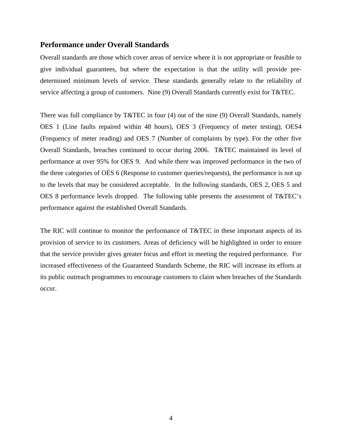## **Performance under Overall Standards**

Overall standards are those which cover areas of service where it is not appropriate or feasible to give individual guarantees, but where the expectation is that the utility will provide predetermined minimum levels of service. These standards generally relate to the reliability of service affecting a group of customers. Nine (9) Overall Standards currently exist for T&TEC.

There was full compliance by T&TEC in four (4) out of the nine (9) Overall Standards, namely OES 1 (Line faults repaired within 48 hours), OES 3 (Frequency of meter testing), OES4 (Frequency of meter reading) and OES 7 (Number of complaints by type). For the other five Overall Standards, breaches continued to occur during 2006. T&TEC maintained its level of performance at over 95% for OES 9. And while there was improved performance in the two of the three categories of OES 6 (Response to customer queries/requests), the performance is not up to the levels that may be considered acceptable. In the following standards, OES 2, OES 5 and OES 8 performance levels dropped. The following table presents the assessment of T&TEC's performance against the established Overall Standards.

The RIC will continue to monitor the performance of T&TEC in these important aspects of its provision of service to its customers. Areas of deficiency will be highlighted in order to ensure that the service provider gives greater focus and effort in meeting the required performance. For increased effectiveness of the Guaranteed Standards Scheme, the RIC will increase its efforts at its public outreach programmes to encourage customers to claim when breaches of the Standards occur.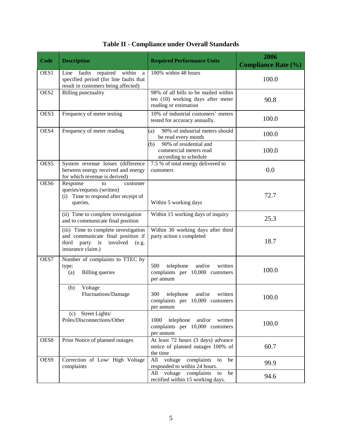<span id="page-8-0"></span>

| Code             | <b>Description</b>                                                                                                                       | <b>Required Performance Units</b>                                                                  | 2006<br><b>Compliance Rate (%)</b> |
|------------------|------------------------------------------------------------------------------------------------------------------------------------------|----------------------------------------------------------------------------------------------------|------------------------------------|
| OES1             | repaired<br>within<br>Line<br>faults<br>a<br>specified period (for line faults that<br>result in customers being affected)               | 100% within 48 hours                                                                               | 100.0                              |
| OES <sub>2</sub> | <b>Billing punctuality</b>                                                                                                               | 98% of all bills to be mailed within<br>ten (10) working days after meter<br>reading or estimation | 90.8                               |
| OES3             | Frequency of meter testing                                                                                                               | 10% of industrial customers' meters<br>tested for accuracy annually.                               | 100.0                              |
| OES4             | Frequency of meter reading                                                                                                               | 90% of industrial meters should<br>(a)<br>be read every month                                      | 100.0                              |
|                  |                                                                                                                                          | 90% of residential and<br>(b)<br>commercial meters read<br>according to schedule                   | 100.0                              |
| OES <sub>5</sub> | System revenue losses (difference<br>between energy received and energy<br>for which revenue is derived)                                 | 7.5 % of total energy delivered to<br>customers                                                    | 0.0                                |
| OES6             | Response<br>customer<br>to<br>queries/requests (written)<br>(i) Time to respond after receipt of<br>queries.                             | Within 5 working days                                                                              | 72.7                               |
|                  | (ii) Time to complete investigation<br>and to communicate final position                                                                 | Within 15 working days of inquiry                                                                  | 25.3                               |
|                  | (iii) Time to complete investigation<br>and communicate final position if<br>party is<br>third<br>involved<br>(e.g.<br>insurance claim.) | Within 30 working days after third<br>party action s completed                                     | 18.7                               |
| OES7             | Number of complaints to TTEC by<br>type:<br><b>Billing</b> queries<br>(a)                                                                | 500<br>telephone<br>and/or<br>written<br>complaints per 10,000 customers<br>per annum              | 100.0                              |
|                  | Voltage<br>(b)<br>Fluctuations/Damage                                                                                                    | 300<br>telephone<br>and/or<br>written<br>complaints per 10,000 customers<br>per annum              | 100.0                              |
|                  | (c) Street Lights/<br>Poles/Disconnections/Other                                                                                         | 1000<br>telephone and/or written<br>complaints per 10,000 customers<br>per annum                   | 100.0                              |
| OES8             | Prior Notice of planned outages                                                                                                          | At least 72 hours (3 days) advance<br>notice of planned outages 100% of<br>the time                | 60.7                               |
| OES9             | Correction of Low/ High Voltage<br>complaints                                                                                            | All voltage<br>complaints<br>be<br>to<br>responded to within 24 hours.                             | 99.9                               |
|                  |                                                                                                                                          | All voltage complaints<br>be<br>to<br>rectified within 15 working days.                            | 94.6                               |

|  | Table II - Compliance under Overall Standards |  |  |  |
|--|-----------------------------------------------|--|--|--|
|--|-----------------------------------------------|--|--|--|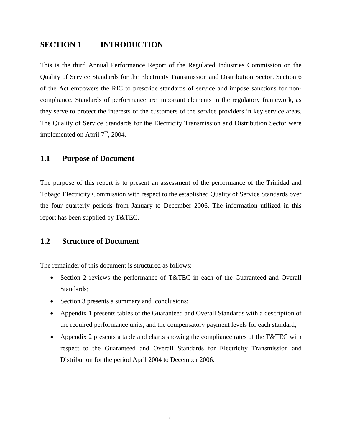## <span id="page-9-0"></span>**SECTION 1 INTRODUCTION**

This is the third Annual Performance Report of the Regulated Industries Commission on the Quality of Service Standards for the Electricity Transmission and Distribution Sector. Section 6 of the Act empowers the RIC to prescribe standards of service and impose sanctions for noncompliance. Standards of performance are important elements in the regulatory framework, as they serve to protect the interests of the customers of the service providers in key service areas. The Quality of Service Standards for the Electricity Transmission and Distribution Sector were implemented on April  $7<sup>th</sup>$ , 2004.

## <span id="page-9-1"></span>**1.1 Purpose of Document**

The purpose of this report is to present an assessment of the performance of the Trinidad and Tobago Electricity Commission with respect to the established Quality of Service Standards over the four quarterly periods from January to December 2006. The information utilized in this report has been supplied by T&TEC.

## <span id="page-9-2"></span>**1.2 Structure of Document**

The remainder of this document is structured as follows:

- Section 2 reviews the performance of T&TEC in each of the Guaranteed and Overall Standards;
- Section 3 presents a summary and conclusions;
- Appendix 1 presents tables of the Guaranteed and Overall Standards with a description of the required performance units, and the compensatory payment levels for each standard;
- Appendix 2 presents a table and charts showing the compliance rates of the T&TEC with respect to the Guaranteed and Overall Standards for Electricity Transmission and Distribution for the period April 2004 to December 2006.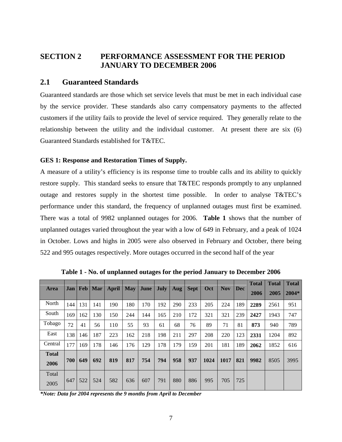# <span id="page-10-0"></span>**SECTION 2 PERFORMANCE ASSESSMENT FOR THE PERIOD JANUARY TO DECEMBER 2006**

## <span id="page-10-1"></span>**2.1 Guaranteed Standards**

Guaranteed standards are those which set service levels that must be met in each individual case by the service provider. These standards also carry compensatory payments to the affected customers if the utility fails to provide the level of service required. They generally relate to the relationship between the utility and the individual customer. At present there are six (6) Guaranteed Standards established for T&TEC.

### <span id="page-10-2"></span>**GES 1: Response and Restoration Times of Supply.**

A measure of a utility's efficiency is its response time to trouble calls and its ability to quickly restore supply. This standard seeks to ensure that T&TEC responds promptly to any unplanned outage and restores supply in the shortest time possible. In order to analyse T&TEC's performance under this standard, the frequency of unplanned outages must first be examined. There was a total of 9982 unplanned outages for 2006. **Table 1** shows that the number of unplanned outages varied throughout the year with a low of 649 in February, and a peak of 1024 in October. Lows and highs in 2005 were also observed in February and October, there being 522 and 995 outages respectively. More outages occurred in the second half of the year

<span id="page-10-3"></span>

|                      | Jan | Feb | Mar |       | <b>May</b> | June | July |     |             | Oct  | <b>Nov</b> | <b>Dec</b> | <b>Total</b> | <b>Total</b> | Total |
|----------------------|-----|-----|-----|-------|------------|------|------|-----|-------------|------|------------|------------|--------------|--------------|-------|
| Area                 |     |     |     | April |            |      |      | Aug | <b>Sept</b> |      |            |            | 2006         | 2005         | 2004* |
| North                | 144 | 131 | 141 | 190   | 180        | 170  | 192  | 290 | 233         | 205  | 224        | 189        | 2289         | 2561         | 951   |
| South                | 169 | 162 | 130 | 150   | 244        | 144  | 165  | 210 | 172         | 321  | 321        | 239        | 2427         | 1943         | 747   |
| Tobago               | 72  | 41  | 56  | 110   | 55         | 93   | 61   | 68  | 76          | 89   | 71         | 81         | 873          | 940          | 789   |
| East                 | 138 | 146 | 187 | 223   | 162        | 218  | 198  | 211 | 297         | 208  | 220        | 123        | 2331         | 1204         | 892   |
| Central              | 177 | 169 | 178 | 146   | 176        | 129  | 178  | 179 | 159         | 201  | 181        | 189        | 2062         | 1852         | 616   |
| <b>Total</b><br>2006 | 700 | 649 | 692 | 819   | 817        | 754  | 794  | 958 | 937         | 1024 | 1017       | 821        | 9982         | 8505         | 3995  |
| Total<br>2005        | 647 | 522 | 524 | 582   | 636        | 607  | 791  | 880 | 886         | 995  | 705        | 725        |              |              |       |

**Table 1 - No. of unplanned outages for the period January to December 2006**

*\*Note: Data for 2004 represents the 9 months from April to December*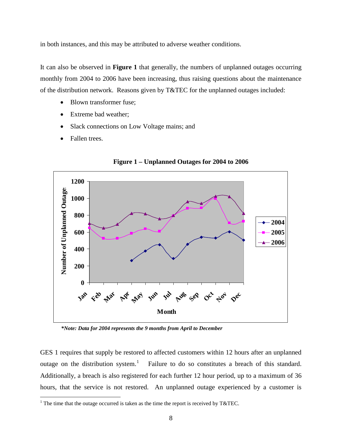<span id="page-11-1"></span>in both instances, and this may be attributed to adverse weather conditions.

It can also be observed in **Figure 1** that generally, the numbers of unplanned outages occurring monthly from 2004 to 2006 have been increasing, thus raising questions about the maintenance of the distribution network. Reasons given by T&TEC for the unplanned outages included:

- Blown transformer fuse;
- Extreme bad weather:
- Slack connections on Low Voltage mains; and
- Fallen trees.

<span id="page-11-0"></span>

**Figure 1 – Unplanned Outages for 2004 to 2006**

 *\*Note: Data for 2004 represents the 9 months from April to December*

GES 1 requires that supply be restored to affected customers within 12 hours after an unplanned outage on the distribution system.<sup>[1](#page-11-1)</sup> Failure to do so constitutes a breach of this standard. Additionally, a breach is also registered for each further 12 hour period, up to a maximum of 36 hours, that the service is not restored. An unplanned outage experienced by a customer is

<sup>&</sup>lt;sup>1</sup> The time that the outage occurred is taken as the time the report is received by T&TEC.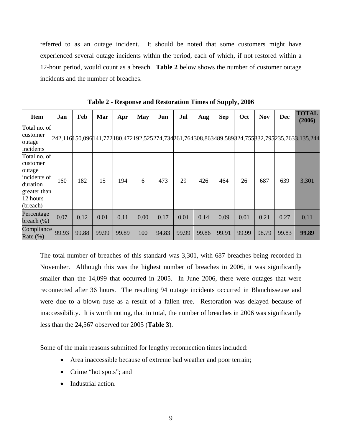referred to as an outage incident. It should be noted that some customers might have experienced several outage incidents within the period, each of which, if not restored within a 12-hour period, would count as a breach. **Table 2** below shows the number of customer outage incidents and the number of breaches.

<span id="page-12-0"></span>

| <b>Item</b>                                                                                            | Jan   | Feb   | Mar   | Apr   | May  | Jun   | Jul   | Aug   | <b>Sep</b> | Oct   | <b>Nov</b> | <b>Dec</b> | <b>TOTAL</b><br>(2006)                                                                                    |
|--------------------------------------------------------------------------------------------------------|-------|-------|-------|-------|------|-------|-------|-------|------------|-------|------------|------------|-----------------------------------------------------------------------------------------------------------|
| Total no. of<br>customer<br>outage<br>incidents                                                        |       |       |       |       |      |       |       |       |            |       |            |            | 242,116 150,096 141,772 180,472 192,525 274,734 261,764 308,863 489,589 324,755 332,795 235,763 3,135,244 |
| Total no. of<br>customer<br>outage<br>incidents of<br>duration<br>greater than<br>12 hours<br>(breach) | 160   | 182   | 15    | 194   | 6    | 473   | 29    | 426   | 464        | 26    | 687        | 639        | 3,301                                                                                                     |
| Percentage<br>breach $(\%)$                                                                            | 0.07  | 0.12  | 0.01  | 0.11  | 0.00 | 0.17  | 0.01  | 0.14  | 0.09       | 0.01  | 0.21       | 0.27       | 0.11                                                                                                      |
| Compliance<br>Rate $(\%)$                                                                              | 99.93 | 99.88 | 99.99 | 99.89 | 100  | 94.83 | 99.99 | 99.86 | 99.91      | 99.99 | 98.79      | 99.83      | 99.89                                                                                                     |

**Table 2 - Response and Restoration Times of Supply, 2006** 

The total number of breaches of this standard was 3,301, with 687 breaches being recorded in November. Although this was the highest number of breaches in 2006, it was significantly smaller than the 14,099 that occurred in 2005. In June 2006, there were outages that were reconnected after 36 hours. The resulting 94 outage incidents occurred in Blanchisseuse and were due to a blown fuse as a result of a fallen tree. Restoration was delayed because of inaccessibility. It is worth noting, that in total, the number of breaches in 2006 was significantly less than the 24,567 observed for 2005 (**Table 3**).

Some of the main reasons submitted for lengthy reconnection times included:

- Area inaccessible because of extreme bad weather and poor terrain;
- Crime "hot spots"; and
- Industrial action.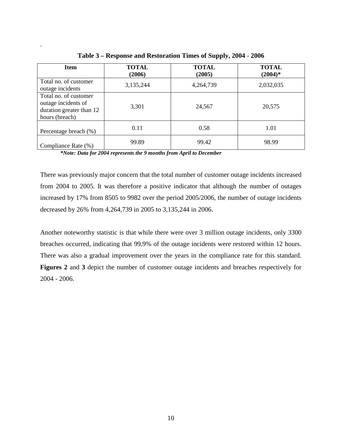| <b>Item</b>                                                                                | <b>TOTAL</b><br>(2006) | <b>TOTAL</b><br>(2005) | <b>TOTAL</b><br>$(2004)*$ |
|--------------------------------------------------------------------------------------------|------------------------|------------------------|---------------------------|
| Total no. of customer<br>outage incidents                                                  | 3,135,244              | 4,264,739              | 2,032,035                 |
| Total no. of customer<br>outage incidents of<br>duration greater than 12<br>hours (breach) | 3,301                  | 24,567                 | 20,575                    |
| Percentage breach (%)                                                                      | 0.11                   | 0.58                   | 1.01                      |
| Compliance Rate (%)                                                                        | 99.89                  | 99.42                  | 98.99                     |

**Table 3 – Response and Restoration Times of Supply, 2004 - 2006**

*\*Note: Data for 2004 represents the 9 months from April to December* 

<span id="page-13-0"></span>.

There was previously major concern that the total number of customer outage incidents increased from 2004 to 2005. It was therefore a positive indicator that although the number of outages increased by 17% from 8505 to 9982 over the period 2005/2006, the number of outage incidents decreased by 26% from 4,264,739 in 2005 to 3,135,244 in 2006.

Another noteworthy statistic is that while there were over 3 million outage incidents, only 3300 breaches occurred, indicating that 99.9% of the outage incidents were restored within 12 hours. There was also a gradual improvement over the years in the compliance rate for this standard. **Figures 2** and **3** depict the number of customer outage incidents and breaches respectively for 2004 - 2006.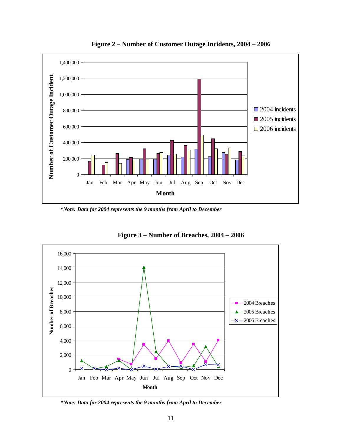<span id="page-14-0"></span>

**Figure 2 – Number of Customer Outage Incidents, 2004 – 2006**

*\*Note: Data for 2004 represents the 9 months from April to December* 

<span id="page-14-1"></span>

**Figure 3 – Number of Breaches, 2004 – 2006**

*\*Note: Data for 2004 represents the 9 months from April to December*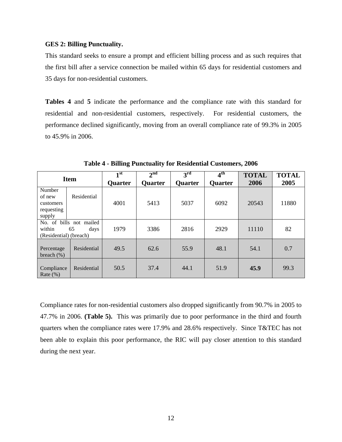### <span id="page-15-0"></span>**GES 2: Billing Punctuality.**

This standard seeks to ensure a prompt and efficient billing process and as such requires that the first bill after a service connection be mailed within 65 days for residential customers and 35 days for non-residential customers.

**Tables 4** and **5** indicate the performance and the compliance rate with this standard for residential and non-residential customers, respectively. For residential customers, the performance declined significantly, moving from an overall compliance rate of 99.3% in 2005 to 45.9% in 2006.

<span id="page-15-1"></span>

| <b>Item</b>                                                               |             | 1 st           | 2 <sup>nd</sup> | 3 <sup>rd</sup> | 4 <sup>th</sup> | <b>TOTAL</b> | <b>TOTAL</b> |
|---------------------------------------------------------------------------|-------------|----------------|-----------------|-----------------|-----------------|--------------|--------------|
|                                                                           |             | <b>Quarter</b> | <b>Quarter</b>  | Quarter         | <b>Quarter</b>  | 2006         | 2005         |
| Number<br>of new<br>customers<br>requesting<br>supply                     | Residential | 4001           | 5413            | 5037            | 6092            | 20543        | 11880        |
| No. of bills not mailed<br>within<br>65<br>days<br>(Residential) (breach) |             | 1979           | 3386            | 2816            | 2929            | 11110        | 82           |
| Percentage<br>breach $(\%)$                                               | Residential | 49.5           | 62.6            | 55.9            | 48.1            | 54.1         | 0.7          |
| Compliance<br>Rate $(\%)$                                                 | Residential | 50.5           | 37.4            | 44.1            | 51.9            | 45.9         | 99.3         |

**Table 4 - Billing Punctuality for Residential Customers, 2006**

Compliance rates for non-residential customers also dropped significantly from 90.7% in 2005 to 47.7% in 2006. **(Table 5).** This was primarily due to poor performance in the third and fourth quarters when the compliance rates were 17.9% and 28.6% respectively. Since T&TEC has not been able to explain this poor performance, the RIC will pay closer attention to this standard during the next year.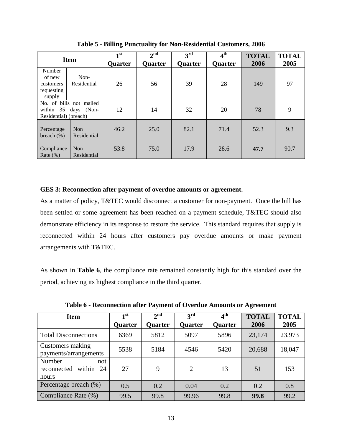<span id="page-16-1"></span>

| <b>Item</b>                                                                  |                                | 1 <sup>st</sup><br><b>Quarter</b> | 2 <sup>nd</sup><br><b>Ouarter</b> | $3^{\rm rd}$<br><b>Quarter</b> | $4^{\text{th}}$<br><b>Quarter</b> | <b>TOTAL</b><br>2006 | <b>TOTAL</b><br>2005 |
|------------------------------------------------------------------------------|--------------------------------|-----------------------------------|-----------------------------------|--------------------------------|-----------------------------------|----------------------|----------------------|
| Number<br>Non-<br>of new<br>Residential<br>customers<br>requesting<br>supply |                                | 26                                | 56                                | 39                             | 28                                | 149                  | 97                   |
| No. of bills not mailed<br>within 35 days (Non-<br>Residential) (breach)     |                                | 12                                | 14                                | 32                             | 20                                | 78                   | 9                    |
| Percentage<br>breach $(\%)$                                                  | <b>Non</b><br>Residential      | 46.2                              | 25.0                              | 82.1                           | 71.4                              | 52.3                 | 9.3                  |
| Compliance<br>Rate $(\%)$                                                    | N <sub>on</sub><br>Residential | 53.8                              | 75.0                              | 17.9                           | 28.6                              | 47.7                 | 90.7                 |

**Table 5 - Billing Punctuality for Non-Residential Customers, 2006**

### <span id="page-16-0"></span>**GES 3: Reconnection after payment of overdue amounts or agreement.**

As a matter of policy, T&TEC would disconnect a customer for non-payment. Once the bill has been settled or some agreement has been reached on a payment schedule, T&TEC should also demonstrate efficiency in its response to restore the service. This standard requires that supply is reconnected within 24 hours after customers pay overdue amounts or make payment arrangements with T&TEC.

As shown in **Table 6**, the compliance rate remained constantly high for this standard over the period, achieving its highest compliance in the third quarter.

<span id="page-16-2"></span>

| <b>Item</b>                                           | 1 <sup>st</sup><br><b>Quarter</b> | 2 <sup>nd</sup><br>Ouarter | $3^{\rm rd}$<br><b>Quarter</b> | 4 <sup>th</sup><br><b>Quarter</b> | <b>TOTAL</b><br>2006 | <b>TOTAL</b><br>2005 |
|-------------------------------------------------------|-----------------------------------|----------------------------|--------------------------------|-----------------------------------|----------------------|----------------------|
| <b>Total Disconnections</b>                           | 6369                              | 5812                       | 5097                           | 5896                              | 23,174               | 23,973               |
| Customers making<br>payments/arrangements             | 5538                              | 5184                       | 4546                           | 5420                              | 20,688               | 18,047               |
| Number<br>not<br>within<br>reconnected<br>24<br>hours | 27                                | 9                          | 2                              | 13                                | 51                   | 153                  |
| Percentage breach (%)                                 | 0.5                               | 0.2                        | 0.04                           | 0.2                               | 0.2                  | 0.8                  |
| Compliance Rate (%)                                   | 99.5                              | 99.8                       | 99.96                          | 99.8                              | 99.8                 | 99.2                 |

**Table 6 - Reconnection after Payment of Overdue Amounts or Agreement**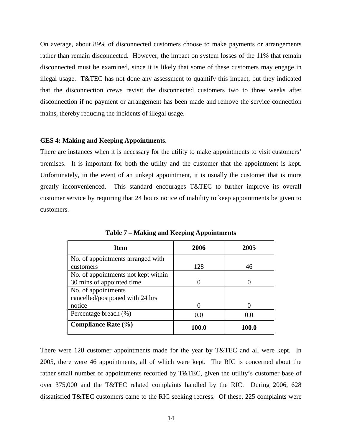On average, about 89% of disconnected customers choose to make payments or arrangements rather than remain disconnected. However, the impact on system losses of the 11% that remain disconnected must be examined, since it is likely that some of these customers may engage in illegal usage. T&TEC has not done any assessment to quantify this impact, but they indicated that the disconnection crews revisit the disconnected customers two to three weeks after disconnection if no payment or arrangement has been made and remove the service connection mains, thereby reducing the incidents of illegal usage.

### <span id="page-17-0"></span>**GES 4: Making and Keeping Appointments.**

There are instances when it is necessary for the utility to make appointments to visit customers' premises. It is important for both the utility and the customer that the appointment is kept. Unfortunately, in the event of an unkept appointment, it is usually the customer that is more greatly inconvenienced. This standard encourages T&TEC to further improve its overall customer service by requiring that 24 hours notice of inability to keep appointments be given to customers.

<span id="page-17-1"></span>

| <b>Item</b>                         | 2006  | 2005  |
|-------------------------------------|-------|-------|
| No. of appointments arranged with   |       |       |
| customers                           | 128   | 46    |
| No. of appointments not kept within |       |       |
| 30 mins of appointed time           |       |       |
| No. of appointments                 |       |       |
| cancelled/postponed with 24 hrs     |       |       |
| notice                              |       |       |
| Percentage breach (%)               | 0.0   | 0.0   |
| <b>Compliance Rate (%)</b>          | 100.0 | 100.0 |

**Table 7 – Making and Keeping Appointments**

There were 128 customer appointments made for the year by T&TEC and all were kept. In 2005, there were 46 appointments, all of which were kept. The RIC is concerned about the rather small number of appointments recorded by T&TEC, given the utility's customer base of over 375,000 and the T&TEC related complaints handled by the RIC. During 2006, 628 dissatisfied T&TEC customers came to the RIC seeking redress. Of these, 225 complaints were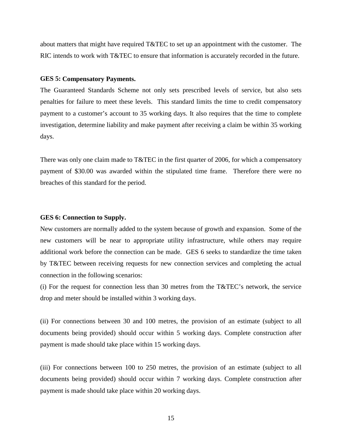about matters that might have required T&TEC to set up an appointment with the customer. The RIC intends to work with T&TEC to ensure that information is accurately recorded in the future.

#### <span id="page-18-0"></span>**GES 5: Compensatory Payments.**

The Guaranteed Standards Scheme not only sets prescribed levels of service, but also sets penalties for failure to meet these levels. This standard limits the time to credit compensatory payment to a customer's account to 35 working days. It also requires that the time to complete investigation, determine liability and make payment after receiving a claim be within 35 working days.

There was only one claim made to T&TEC in the first quarter of 2006, for which a compensatory payment of \$30.00 was awarded within the stipulated time frame. Therefore there were no breaches of this standard for the period.

### <span id="page-18-1"></span>**GES 6: Connection to Supply.**

New customers are normally added to the system because of growth and expansion. Some of the new customers will be near to appropriate utility infrastructure, while others may require additional work before the connection can be made. GES 6 seeks to standardize the time taken by T&TEC between receiving requests for new connection services and completing the actual connection in the following scenarios:

(i) For the request for connection less than 30 metres from the T&TEC's network, the service drop and meter should be installed within 3 working days.

(ii) For connections between 30 and 100 metres, the provision of an estimate (subject to all documents being provided) should occur within 5 working days. Complete construction after payment is made should take place within 15 working days.

(iii) For connections between 100 to 250 metres, the provision of an estimate (subject to all documents being provided) should occur within 7 working days. Complete construction after payment is made should take place within 20 working days.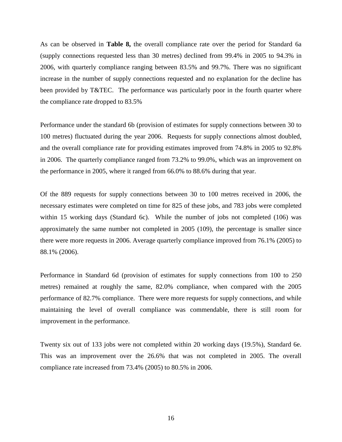As can be observed in **Table 8,** the overall compliance rate over the period for Standard 6a (supply connections requested less than 30 metres) declined from 99.4% in 2005 to 94.3% in 2006, with quarterly compliance ranging between 83.5% and 99.7%. There was no significant increase in the number of supply connections requested and no explanation for the decline has been provided by T&TEC. The performance was particularly poor in the fourth quarter where the compliance rate dropped to 83.5%

Performance under the standard 6b (provision of estimates for supply connections between 30 to 100 metres) fluctuated during the year 2006. Requests for supply connections almost doubled, and the overall compliance rate for providing estimates improved from 74.8% in 2005 to 92.8% in 2006. The quarterly compliance ranged from 73.2% to 99.0%, which was an improvement on the performance in 2005, where it ranged from 66.0% to 88.6% during that year.

Of the 889 requests for supply connections between 30 to 100 metres received in 2006, the necessary estimates were completed on time for 825 of these jobs, and 783 jobs were completed within 15 working days (Standard 6c). While the number of jobs not completed (106) was approximately the same number not completed in 2005 (109), the percentage is smaller since there were more requests in 2006. Average quarterly compliance improved from 76.1% (2005) to 88.1% (2006).

Performance in Standard 6d (provision of estimates for supply connections from 100 to 250 metres) remained at roughly the same, 82.0% compliance, when compared with the 2005 performance of 82.7% compliance. There were more requests for supply connections, and while maintaining the level of overall compliance was commendable, there is still room for improvement in the performance.

Twenty six out of 133 jobs were not completed within 20 working days (19.5%), Standard 6e. This was an improvement over the 26.6% that was not completed in 2005. The overall compliance rate increased from 73.4% (2005) to 80.5% in 2006.

16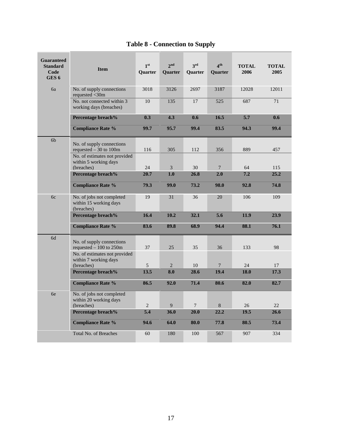<span id="page-20-0"></span>

| <b>Guaranteed</b><br><b>Standard</b><br>Code<br>GES <sub>6</sub> | <b>Item</b>                                                                            | 1 <sup>st</sup><br><b>Ouarter</b> | 2 <sub>nd</sub><br><b>Ouarter</b> | 3 <sup>rd</sup><br>Quarter | $\mathbf{A}^{\text{th}}$<br>Quarter | <b>TOTAL</b><br>2006 | <b>TOTAL</b><br>2005 |
|------------------------------------------------------------------|----------------------------------------------------------------------------------------|-----------------------------------|-----------------------------------|----------------------------|-------------------------------------|----------------------|----------------------|
| 6a                                                               | No. of supply connections<br>requested <30m                                            | 3018                              | 3126                              | 2697                       | 3187                                | 12028                | 12011                |
|                                                                  | No. not connected within 3<br>working days (breaches)                                  | 10                                | 135                               | 17                         | 525                                 | 687                  | 71                   |
|                                                                  | Percentage breach%                                                                     | 0.3                               | 4.3                               | 0.6                        | 16.5                                | 5.7                  | 0.6                  |
|                                                                  | <b>Compliance Rate %</b>                                                               | 99.7                              | 95.7                              | 99.4                       | 83.5                                | 94.3                 | 99.4                 |
| 6 <sub>b</sub>                                                   | No. of supply connections<br>requested $-30$ to 100m<br>No. of estimates not provided  | 116                               | 305                               | 112                        | 356                                 | 889                  | 457                  |
|                                                                  | within 5 working days<br>(breaches)                                                    | 24                                | 3                                 | 30                         | $\tau$                              | 64                   | 115                  |
|                                                                  | Percentage breach%                                                                     | 20.7                              | 1.0                               | 26.8                       | 2.0                                 | 7.2                  | 25.2                 |
|                                                                  | <b>Compliance Rate %</b>                                                               | 79.3                              | 99.0                              | 73.2                       | 98.0                                | 92.8                 | 74.8                 |
| 6c                                                               | No. of jobs not completed<br>within 15 working days<br>(breaches)                      | 19                                | 31                                | 36                         | 20                                  | 106                  | 109                  |
|                                                                  | Percentage breach%                                                                     | 16.4                              | 10.2                              | 32.1                       | 5.6                                 | 11.9                 | 23.9                 |
|                                                                  | <b>Compliance Rate %</b>                                                               | 83.6                              | 89.8                              | 68.9                       | 94.4                                | 88.1                 | 76.1                 |
| 6d                                                               | No. of supply connections<br>requested $-100$ to 250m<br>No. of estimates not provided | 37                                | 25                                | 35                         | 36                                  | 133                  | 98                   |
|                                                                  | within 7 working days<br>(breaches)                                                    | 5                                 | 2                                 | 10                         | $\tau$                              | 24                   | 17                   |
|                                                                  | Percentage breach%                                                                     | 13.5                              | 8.0                               | 28.6                       | 19.4                                | 18.0                 | 17.3                 |
|                                                                  | <b>Compliance Rate %</b>                                                               | 86.5                              | 92.0                              | 71.4                       | 80.6                                | 82.0                 | 82.7                 |
| 6e                                                               | No. of jobs not completed<br>within 20 working days<br>(breaches)                      | $\overline{2}$                    | 9                                 | $\overline{7}$             | 8                                   | 26                   | 22                   |
|                                                                  | Percentage breach%                                                                     | 5.4                               | 36.0                              | 20.0                       | 22.2                                | 19.5                 | 26.6                 |
|                                                                  | <b>Compliance Rate %</b>                                                               | 94.6                              | 64.0                              | 80.0                       | 77.8                                | 80.5                 | 73.4                 |
|                                                                  | <b>Total No. of Breaches</b>                                                           | 60                                | 180                               | 100                        | 567                                 | 907                  | 334                  |

# **Table 8 - Connection to Supply**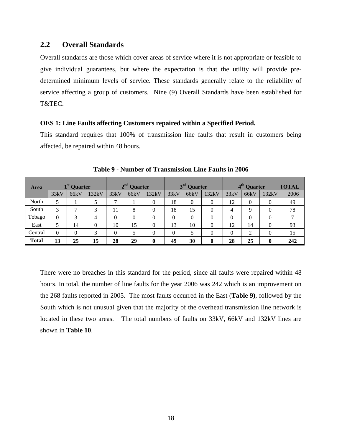## <span id="page-21-0"></span>**2.2 Overall Standards**

Overall standards are those which cover areas of service where it is not appropriate or feasible to give individual guarantees, but where the expectation is that the utility will provide predetermined minimum levels of service. These standards generally relate to the reliability of service affecting a group of customers. Nine (9) Overall Standards have been established for T&TEC.

### <span id="page-21-1"></span>**OES 1: Line Faults affecting Customers repaired within a Specified Period.**

This standard requires that 100% of transmission line faults that result in customers being affected, be repaired within 48 hours.

<span id="page-21-2"></span>

| <b>Area</b>  |          | 1 <sup>st</sup> Quarter |       |                | $\boldsymbol{\gamma}$ nd<br><b>Quarter</b> |                |      | 3 <sup>rd</sup> Quarter |       |                | 4 <sup>th</sup> Quarter |                | <b>FOTAL</b> |
|--------------|----------|-------------------------|-------|----------------|--------------------------------------------|----------------|------|-------------------------|-------|----------------|-------------------------|----------------|--------------|
|              | 33kV     | 66kV                    | 132kV | 33kV           | 66kV                                       | 132kV          | 33kV | 66kV                    | 132kV | 33kV           | 66kV                    | 132kV          | 2006         |
| North        |          |                         |       | ⇁              |                                            | 0              | 18   | $\Omega$                | 0     | 12             | $\theta$                | 0              | 49           |
| South        | 3        |                         | 3     | 11             | 8                                          | $\theta$       | 18   | 15                      | 0     | $\overline{4}$ | 9                       | $\theta$       | 78           |
| Tobago       | $\Omega$ | 3                       |       | $\theta$       | $\Omega$                                   | 0              | 0    | $\theta$                | 0     | $\theta$       | $\theta$                | 0              |              |
| East         |          | 14                      | 0     | 10             | 15                                         | $\theta$       | 13   | 10                      | 0     | 12             | 14                      | $\Omega$       | 93           |
| Central      | $\theta$ | $\theta$                | 3     | $\overline{0}$ |                                            | $\overline{0}$ | 0    |                         | 0     | $\theta$       | 2                       | $\overline{0}$ | 15           |
| <b>Total</b> | 13       | 25                      | 15    | 28             | 29                                         | $\bf{0}$       | 49   | 30                      | 0     | 28             | 25                      | $\bf{0}$       | 242          |

**Table 9 - Number of Transmission Line Faults in 2006**

There were no breaches in this standard for the period, since all faults were repaired within 48 hours. In total, the number of line faults for the year 2006 was 242 which is an improvement on the 268 faults reported in 2005. The most faults occurred in the East (**Table 9)**, followed by the South which is not unusual given that the majority of the overhead transmission line network is located in these two areas. The total numbers of faults on 33kV, 66kV and 132kV lines are shown in **Table 10**.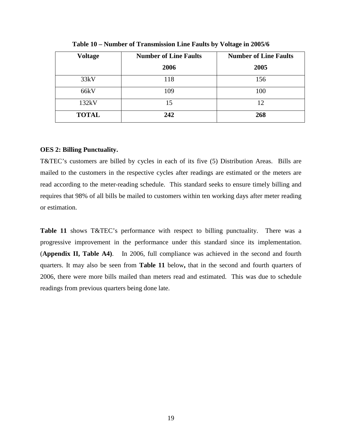<span id="page-22-1"></span>

| <b>Voltage</b> | <b>Number of Line Faults</b> | <b>Number of Line Faults</b> |
|----------------|------------------------------|------------------------------|
|                | 2006                         | 2005                         |
| 33kV           | 118                          | 156                          |
| 66kV           | 109                          | 100                          |
| 132kV          | 15                           | 12                           |
| <b>TOTAL</b>   | 242                          | 268                          |

**Table 10 – Number of Transmission Line Faults by Voltage in 2005/6**

### <span id="page-22-0"></span>**OES 2: Billing Punctuality.**

T&TEC's customers are billed by cycles in each of its five (5) Distribution Areas. Bills are mailed to the customers in the respective cycles after readings are estimated or the meters are read according to the meter-reading schedule. This standard seeks to ensure timely billing and requires that 98% of all bills be mailed to customers within ten working days after meter reading or estimation.

Table 11 shows T&TEC's performance with respect to billing punctuality. There was a progressive improvement in the performance under this standard since its implementation. (**Appendix II, Table A4)**. In 2006, full compliance was achieved in the second and fourth quarters. It may also be seen from **Table 11** below**,** that in the second and fourth quarters of 2006, there were more bills mailed than meters read and estimated. This was due to schedule readings from previous quarters being done late.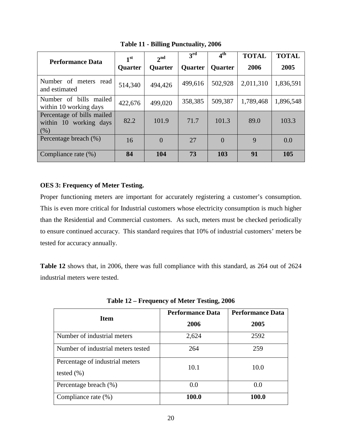<span id="page-23-1"></span>

| <b>Performance Data</b>                                      | 1 <sup>st</sup> | 2 <sub>nd</sub> | 3 <sup>rd</sup> | $4^{\rm th}$   | <b>TOTAL</b> | <b>TOTAL</b> |
|--------------------------------------------------------------|-----------------|-----------------|-----------------|----------------|--------------|--------------|
|                                                              | <b>Quarter</b>  | <b>Quarter</b>  | <b>Quarter</b>  | <b>Quarter</b> | 2006         | 2005         |
| Number of meters read<br>and estimated                       | 514,340         | 494,426         | 499,616         | 502,928        | 2,011,310    | 1,836,591    |
| Number of bills mailed<br>within 10 working days             | 422,676         | 499,020         | 358,385         | 509,387        | 1,789,468    | 1,896,548    |
| Percentage of bills mailed<br>within 10 working days<br>(% ) | 82.2            | 101.9           | 71.7            | 101.3          | 89.0         | 103.3        |
| Percentage breach (%)                                        | 16              | $\Omega$        | 27              | $\Omega$       | 9            | 0.0          |
| Compliance rate (%)                                          | 84              | 104             | 73              | 103            | 91           | 105          |

**Table 11 - Billing Punctuality, 2006**

### <span id="page-23-0"></span>**OES 3: Frequency of Meter Testing.**

Proper functioning meters are important for accurately registering a customer's consumption. This is even more critical for Industrial customers whose electricity consumption is much higher than the Residential and Commercial customers. As such, meters must be checked periodically to ensure continued accuracy. This standard requires that 10% of industrial customers' meters be tested for accuracy annually.

**Table 12** shows that, in 2006, there was full compliance with this standard, as 264 out of 2624 industrial meters were tested.

<span id="page-23-2"></span>

| <b>Item</b>                                       | <b>Performance Data</b> | <b>Performance Data</b> |
|---------------------------------------------------|-------------------------|-------------------------|
|                                                   | 2006                    | 2005                    |
| Number of industrial meters                       | 2,624                   | 2592                    |
| Number of industrial meters tested                | 264                     | 259                     |
| Percentage of industrial meters<br>tested $(\% )$ | 10.1                    | 10.0                    |
| Percentage breach (%)                             | 0.0                     | 0.0                     |
| Compliance rate $(\%)$                            | 100.0                   | 100.0                   |

**Table 12 – Frequency of Meter Testing, 2006**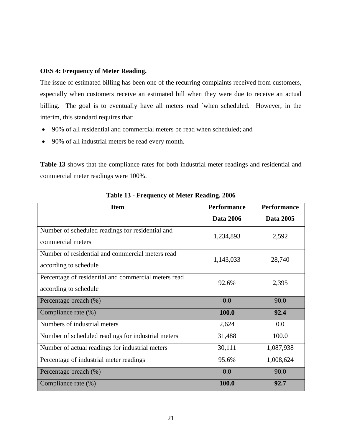### <span id="page-24-0"></span>**OES 4: Frequency of Meter Reading.**

The issue of estimated billing has been one of the recurring complaints received from customers, especially when customers receive an estimated bill when they were due to receive an actual billing. The goal is to eventually have all meters read `when scheduled. However, in the interim, this standard requires that:

- 90% of all residential and commercial meters be read when scheduled; and
- 90% of all industrial meters be read every month.

**Table 13** shows that the compliance rates for both industrial meter readings and residential and commercial meter readings were 100%.

<span id="page-24-1"></span>

| <b>Item</b>                                                                   | <b>Performance</b> | <b>Performance</b> |
|-------------------------------------------------------------------------------|--------------------|--------------------|
|                                                                               | <b>Data 2006</b>   | Data 2005          |
| Number of scheduled readings for residential and<br>commercial meters         | 1,234,893          | 2,592              |
| Number of residential and commercial meters read<br>according to schedule     | 1,143,033          | 28,740             |
| Percentage of residential and commercial meters read<br>according to schedule | 92.6%              | 2,395              |
| Percentage breach (%)                                                         | 0.0                | 90.0               |
| Compliance rate (%)                                                           | 100.0              | 92.4               |
| Numbers of industrial meters                                                  | 2,624              | 0.0                |
| Number of scheduled readings for industrial meters                            | 31,488             | 100.0              |
| Number of actual readings for industrial meters                               | 30,111             | 1,087,938          |
| Percentage of industrial meter readings                                       | 95.6%              | 1,008,624          |
| Percentage breach (%)                                                         | 0.0                | 90.0               |
| Compliance rate (%)                                                           | 100.0              | 92.7               |

**Table 13 - Frequency of Meter Reading, 2006**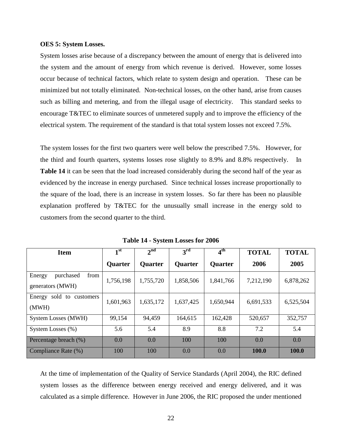### <span id="page-25-0"></span>**OES 5: System Losses.**

System losses arise because of a discrepancy between the amount of energy that is delivered into the system and the amount of energy from which revenue is derived. However, some losses occur because of technical factors, which relate to system design and operation. These can be minimized but not totally eliminated. Non-technical losses, on the other hand, arise from causes such as billing and metering, and from the illegal usage of electricity. This standard seeks to encourage T&TEC to eliminate sources of unmetered supply and to improve the efficiency of the electrical system. The requirement of the standard is that total system losses not exceed 7.5%.

The system losses for the first two quarters were well below the prescribed 7.5%. However, for the third and fourth quarters, systems losses rose slightly to 8.9% and 8.8% respectively. In **Table 14** it can be seen that the load increased considerably during the second half of the year as evidenced by the increase in energy purchased. Since technical losses increase proportionally to the square of the load, there is an increase in system losses. So far there has been no plausible explanation proffered by T&TEC for the unusually small increase in the energy sold to customers from the second quarter to the third.

<span id="page-25-1"></span>

| <b>Item</b>                                     | 1 <sup>st</sup> | 2 <sup>nd</sup> | 3 <sup>rd</sup> | 4 <sup>th</sup> | <b>TOTAL</b> | <b>TOTAL</b> |
|-------------------------------------------------|-----------------|-----------------|-----------------|-----------------|--------------|--------------|
|                                                 | <b>Quarter</b>  | <b>Quarter</b>  | Quarter         | <b>Quarter</b>  | 2006         | 2005         |
| from<br>purchased<br>Energy<br>generators (MWH) | 1,756,198       | 1,755,720       | 1,858,506       | 1,841,766       | 7,212,190    | 6,878,262    |
| sold to customers<br>Energy<br>(MWH)            | 1,601,963       | 1,635,172       | 1,637,425       | 1,650,944       | 6,691,533    | 6,525,504    |
| System Losses (MWH)                             | 99,154          | 94,459          | 164,615         | 162,428         | 520,657      | 352,757      |
| System Losses (%)                               | 5.6             | 5.4             | 8.9             | 8.8             | 7.2          | 5.4          |
| Percentage breach (%)                           | 0.0             | 0.0             | 100             | 100             | 0.0          | 0.0          |
| Compliance Rate (%)                             | 100             | 100             | 0.0             | 0.0             | 100.0        | 100.0        |

**Table 14 - System Losses for 2006**

At the time of implementation of the Quality of Service Standards (April 2004), the RIC defined system losses as the difference between energy received and energy delivered, and it was calculated as a simple difference. However in June 2006, the RIC proposed the under mentioned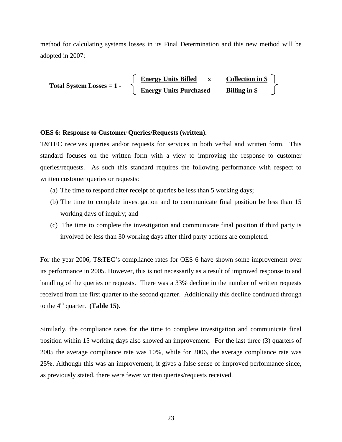method for calculating systems losses in its Final Determination and this new method will be adopted in 2007:

 **Energy Units Billed x Collection in \$ Energy Units Purchased Billing in \$ Total System Losses = 1 -** 

### <span id="page-26-0"></span>**OES 6: Response to Customer Queries/Requests (written).**

T&TEC receives queries and/or requests for services in both verbal and written form. This standard focuses on the written form with a view to improving the response to customer queries/requests. As such this standard requires the following performance with respect to written customer queries or requests:

- (a) The time to respond after receipt of queries be less than 5 working days;
- (b) The time to complete investigation and to communicate final position be less than 15 working days of inquiry; and
- (c) The time to complete the investigation and communicate final position if third party is involved be less than 30 working days after third party actions are completed.

For the year 2006, T&TEC's compliance rates for OES 6 have shown some improvement over its performance in 2005. However, this is not necessarily as a result of improved response to and handling of the queries or requests. There was a 33% decline in the number of written requests received from the first quarter to the second quarter. Additionally this decline continued through to the  $4<sup>th</sup>$  quarter. **(Table 15)**.

Similarly, the compliance rates for the time to complete investigation and communicate final position within 15 working days also showed an improvement. For the last three (3) quarters of 2005 the average compliance rate was 10%, while for 2006, the average compliance rate was 25%. Although this was an improvement, it gives a false sense of improved performance since, as previously stated, there were fewer written queries/requests received.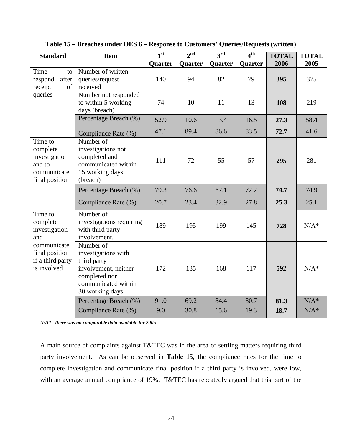| <b>Standard</b>                                                                 | <b>Item</b>                                                                                                                        | 1 <sup>st</sup> | 2 <sup>nd</sup> | $3^{\text{rd}}$ | 4 <sup>th</sup> | <b>TOTAL</b> | <b>TOTAL</b> |
|---------------------------------------------------------------------------------|------------------------------------------------------------------------------------------------------------------------------------|-----------------|-----------------|-----------------|-----------------|--------------|--------------|
|                                                                                 |                                                                                                                                    | Quarter         | Quarter         | Quarter         | Quarter         | 2006         | 2005         |
| Time<br>to<br>after<br>respond<br>of<br>receipt                                 | Number of written<br>queries/request<br>received                                                                                   | 140             | 94              | 82              | 79              | 395          | 375          |
| queries                                                                         | Number not responded<br>to within 5 working<br>days (breach)                                                                       | 74              | 10              | 11              | 13              | 108          | 219          |
|                                                                                 | Percentage Breach (%)                                                                                                              | 52.9            | 10.6            | 13.4            | 16.5            | 27.3         | 58.4         |
|                                                                                 | Compliance Rate (%)                                                                                                                | 47.1            | 89.4            | 86.6            | 83.5            | 72.7         | 41.6         |
| Time to<br>complete<br>investigation<br>and to<br>communicate<br>final position | Number of<br>investigations not<br>completed and<br>communicated within<br>15 working days<br>(breach)                             | 111             | 72              | 55              | 57              | 295          | 281          |
|                                                                                 | Percentage Breach (%)                                                                                                              | 79.3            | 76.6            | 67.1            | 72.2            | 74.7         | 74.9         |
|                                                                                 | Compliance Rate (%)                                                                                                                | 20.7            | 23.4            | 32.9            | 27.8            | 25.3         | 25.1         |
| Time to<br>complete<br>investigation<br>and                                     | Number of<br>investigations requiring<br>with third party<br>involvement.                                                          | 189             | 195             | 199             | 145             | 728          | $N/A^*$      |
| communicate<br>final position<br>if a third party<br>is involved                | Number of<br>investigations with<br>third party<br>involvement, neither<br>completed nor<br>communicated within<br>30 working days | 172             | 135             | 168             | 117             | 592          | $N/A^*$      |
|                                                                                 | Percentage Breach (%)                                                                                                              | 91.0            | 69.2            | 84.4            | 80.7            | 81.3         | $N/A^*$      |
|                                                                                 | Compliance Rate (%)                                                                                                                | 9.0             | 30.8            | 15.6            | 19.3            | 18.7         | $N/A^*$      |

<span id="page-27-0"></span>**Table 15 – Breaches under OES 6 – Response to Customers' Queries/Requests (written)**

*N/A\* - there was no comparable data available for 2005*.

A main source of complaints against T&TEC was in the area of settling matters requiring third party involvement. As can be observed in **Table 15**, the compliance rates for the time to complete investigation and communicate final position if a third party is involved, were low, with an average annual compliance of 19%. T&TEC has repeatedly argued that this part of the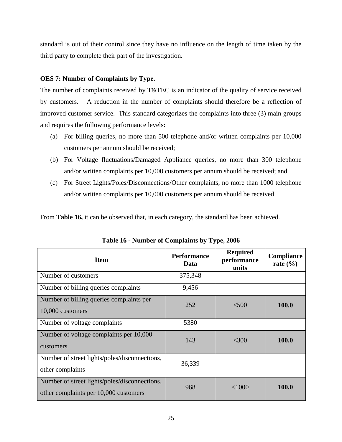standard is out of their control since they have no influence on the length of time taken by the third party to complete their part of the investigation.

## <span id="page-28-0"></span>**OES 7: Number of Complaints by Type.**

The number of complaints received by T&TEC is an indicator of the quality of service received by customers. A reduction in the number of complaints should therefore be a reflection of improved customer service. This standard categorizes the complaints into three (3) main groups and requires the following performance levels:

- (a) For billing queries, no more than 500 telephone and/or written complaints per 10,000 customers per annum should be received;
- (b) For Voltage fluctuations/Damaged Appliance queries, no more than 300 telephone and/or written complaints per 10,000 customers per annum should be received; and
- (c) For Street Lights/Poles/Disconnections/Other complaints, no more than 1000 telephone and/or written complaints per 10,000 customers per annum should be received.

From **Table 16,** it can be observed that, in each category, the standard has been achieved.

<span id="page-28-1"></span>

| <b>Item</b>                                                                            | <b>Performance</b><br>Data | <b>Required</b><br>performance<br>units | Compliance<br>rate $(\% )$ |
|----------------------------------------------------------------------------------------|----------------------------|-----------------------------------------|----------------------------|
| Number of customers                                                                    | 375,348                    |                                         |                            |
| Number of billing queries complaints                                                   | 9,456                      |                                         |                            |
| Number of billing queries complaints per<br>10,000 customers                           | 252                        | < 500                                   | 100.0                      |
| Number of voltage complaints                                                           | 5380                       |                                         |                            |
| Number of voltage complaints per 10,000<br>customers                                   | 143                        | $<$ 300                                 | 100.0                      |
| Number of street lights/poles/disconnections,<br>other complaints                      | 36,339                     |                                         |                            |
| Number of street lights/poles/disconnections,<br>other complaints per 10,000 customers | 968                        | < 1000                                  | 100.0                      |

**Table 16 - Number of Complaints by Type, 2006**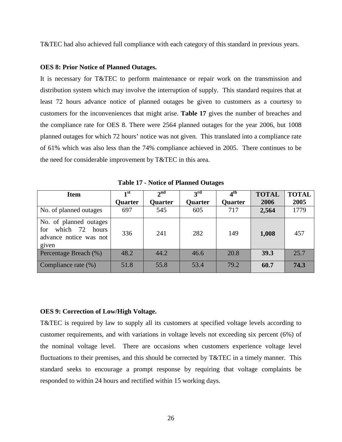T&TEC had also achieved full compliance with each category of this standard in previous years.

### <span id="page-29-0"></span>**OES 8: Prior Notice of Planned Outages.**

It is necessary for T&TEC to perform maintenance or repair work on the transmission and distribution system which may involve the interruption of supply. This standard requires that at least 72 hours advance notice of planned outages be given to customers as a courtesy to customers for the inconveniences that might arise. **Table 17** gives the number of breaches and the compliance rate for OES 8. There were 2564 planned outages for the year 2006, but 1008 planned outages for which 72 hours' notice was not given. This translated into a compliance rate of 61% which was also less than the 74% compliance achieved in 2005. There continues to be the need for considerable improvement by T&TEC in this area.

<span id="page-29-2"></span>

| <b>Item</b>                                                                        | 1st     | $2^{nd}$ | $3^{\rm rd}$ | 4 <sup>th</sup> | <b>TOTAL</b> | <b>TOTAL</b> |
|------------------------------------------------------------------------------------|---------|----------|--------------|-----------------|--------------|--------------|
|                                                                                    | Quarter | Quarter  | Quarter      | Quarter         | 2006         | 2005         |
| No. of planned outages                                                             | 697     | 545      | 605          | 717             | 2,564        | 1779         |
| No. of planned outages<br>which 72 hours<br>for<br>advance notice was not<br>given | 336     | 241      | 282          | 149             | 1,008        | 457          |
| Percentage Breach (%)                                                              | 48.2    | 44.2     | 46.6         | 20.8            | 39.3         | 25.7         |
| Compliance rate $(\%)$                                                             | 51.8    | 55.8     | 53.4         | 79.2            | 60.7         | 74.3         |

**Table 17 - Notice of Planned Outages**

### <span id="page-29-1"></span>**OES 9: Correction of Low/High Voltage.**

T&TEC is required by law to supply all its customers at specified voltage levels according to customer requirements, and with variations in voltage levels not exceeding six percent (6%) of the nominal voltage level. There are occasions when customers experience voltage level fluctuations to their premises, and this should be corrected by T&TEC in a timely manner. This standard seeks to encourage a prompt response by requiring that voltage complaints be responded to within 24 hours and rectified within 15 working days.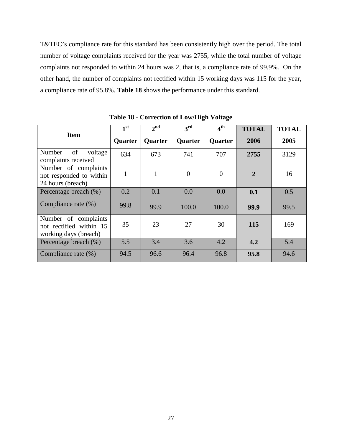T&TEC's compliance rate for this standard has been consistently high over the period. The total number of voltage complaints received for the year was 2755, while the total number of voltage complaints not responded to within 24 hours was 2, that is, a compliance rate of 99.9%. On the other hand, the number of complaints not rectified within 15 working days was 115 for the year, a compliance rate of 95.8%. **Table 18** shows the performance under this standard.

<span id="page-30-0"></span>

|                                                                          | 1 <sup>st</sup> | 2 <sup>nd</sup> | 3 <sup>rd</sup> | $4^{\rm th}$   | <b>TOTAL</b>   | <b>TOTAL</b> |
|--------------------------------------------------------------------------|-----------------|-----------------|-----------------|----------------|----------------|--------------|
| <b>Item</b>                                                              | Quarter         | <b>Quarter</b>  | Quarter         | <b>Quarter</b> | 2006           | 2005         |
| of<br>Number<br>voltage<br>complaints received                           | 634             | 673             | 741             | 707            | 2755           | 3129         |
| Number of complaints<br>not responded to within<br>24 hours (breach)     | 1               | $\mathbf{1}$    | $\theta$        | $\overline{0}$ | $\overline{2}$ | 16           |
| Percentage breach (%)                                                    | 0.2             | 0.1             | 0.0             | 0.0            | 0.1            | 0.5          |
| Compliance rate (%)                                                      | 99.8            | 99.9            | 100.0           | 100.0          | 99.9           | 99.5         |
| Number of complaints<br>not rectified within 15<br>working days (breach) | 35              | 23              | 27              | 30             | 115            | 169          |
| Percentage breach (%)                                                    | 5.5             | 3.4             | 3.6             | 4.2            | 4.2            | 5.4          |
| Compliance rate (%)                                                      | 94.5            | 96.6            | 96.4            | 96.8           | 95.8           | 94.6         |

**Table 18 - Correction of Low/High Voltage**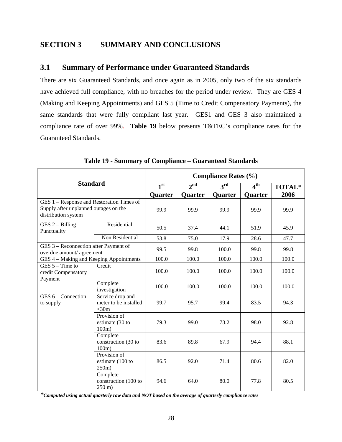# <span id="page-31-0"></span>**SECTION 3 SUMMARY AND CONCLUSIONS**

## <span id="page-31-1"></span>**3.1 Summary of Performance under Guaranteed Standards**

There are six Guaranteed Standards, and once again as in 2005, only two of the six standards have achieved full compliance, with no breaches for the period under review. They are GES 4 (Making and Keeping Appointments) and GES 5 (Time to Credit Compensatory Payments), the same standards that were fully compliant last year. GES1 and GES 3 also maintained a compliance rate of over 99%. **Table 19** below presents T&TEC's compliance rates for the Guaranteed Standards.

<span id="page-31-2"></span>

|                                                                                                           |                                                       | <b>Compliance Rates (%)</b> |                 |               |                 |        |  |  |  |
|-----------------------------------------------------------------------------------------------------------|-------------------------------------------------------|-----------------------------|-----------------|---------------|-----------------|--------|--|--|--|
| <b>Standard</b>                                                                                           |                                                       | 1 <sup>st</sup>             | 2 <sup>nd</sup> | $3^{\rm rd}$  | 4 <sup>th</sup> | TOTAL* |  |  |  |
|                                                                                                           |                                                       | Quarter                     | Quarter         | Quarter       | Quarter         | 2006   |  |  |  |
| GES 1 - Response and Restoration Times of<br>Supply after unplanned outages on the<br>distribution system | 99.9                                                  | 99.9                        | 99.9            | 99.9          | 99.9            |        |  |  |  |
| $GES 2 - Billing$<br>Punctuality                                                                          | Residential                                           | 50.5                        | 37.4            | 44.1          | 51.9            | 45.9   |  |  |  |
|                                                                                                           | Non Residential                                       | 53.8                        | 75.0            | 17.9          | 28.6            | 47.7   |  |  |  |
| GES 3 - Reconnection after Payment of<br>overdue amount/ agreement                                        |                                                       | 99.5                        | 99.8            | 100.0<br>99.8 |                 | 99.8   |  |  |  |
| GES 4 - Making and Keeping Appointments                                                                   |                                                       | 100.0                       | 100.0           | 100.0         | 100.0           | 100.0  |  |  |  |
| $GES 5 - Time to$<br>credit Compensatory<br>Payment                                                       | Credit                                                | 100.0                       | 100.0           | 100.0         | 100.0           | 100.0  |  |  |  |
|                                                                                                           | Complete<br>investigation                             | 100.0                       | 100.0           | 100.0         | 100.0           | 100.0  |  |  |  |
| $GES 6 - Connection$<br>to supply                                                                         | Service drop and<br>meter to be installed<br>$<$ 30m  | 99.7                        | 95.7            | 99.4          | 83.5            | 94.3   |  |  |  |
|                                                                                                           | Provision of<br>estimate (30 to<br>$100m$ )           | 79.3                        | 99.0            | 73.2          | 98.0            | 92.8   |  |  |  |
|                                                                                                           | Complete<br>construction (30 to<br>100m               | 83.6                        | 89.8            | 67.9          | 94.4            | 88.1   |  |  |  |
|                                                                                                           | Provision of<br>estimate (100 to<br>$250m$ )          | 86.5                        | 92.0            | 71.4          | 80.6            | 82.0   |  |  |  |
|                                                                                                           | Complete<br>construction (100 to<br>$250 \text{ m}$ ) | 94.6                        | 64.0            | 80.0          | 77.8            | 80.5   |  |  |  |

**Table 19 - Summary of Compliance – Guaranteed Standards**

*\*Computed using actual quarterly raw data and NOT based on the average of quarterly compliance rates*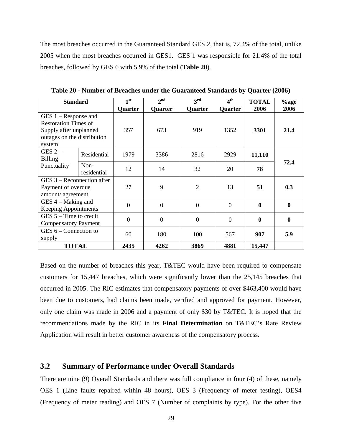The most breaches occurred in the Guaranteed Standard GES 2, that is, 72.4% of the total, unlike 2005 when the most breaches occurred in GES1. GES 1 was responsible for 21.4% of the total breaches, followed by GES 6 with 5.9% of the total (**Table 20**).

<span id="page-32-1"></span>

| <b>Standard</b>             |             | 1 <sup>st</sup> | 2 <sup>nd</sup> | 3 <sup>rd</sup> | 4 <sup>th</sup> | <b>TOTAL</b>     | $%$ age          |
|-----------------------------|-------------|-----------------|-----------------|-----------------|-----------------|------------------|------------------|
|                             |             | <b>Quarter</b>  | <b>Quarter</b>  | Quarter         | <b>Quarter</b>  | 2006             | 2006             |
| $GES 1 - Response$ and      |             |                 |                 |                 |                 |                  |                  |
| <b>Restoration Times of</b> |             |                 |                 |                 |                 |                  |                  |
| Supply after unplanned      |             | 357             | 673             | 919             | 1352            | 3301             | 21.4             |
| outages on the distribution |             |                 |                 |                 |                 |                  |                  |
| system                      |             |                 |                 |                 |                 |                  |                  |
| $GES 2 -$                   | Residential | 1979            | 3386            | 2816            | 2929            | 11,110           |                  |
| <b>Billing</b>              |             |                 |                 |                 |                 |                  | 72.4             |
| Punctuality                 | Non-        | 12              | 14              | 32              | 20              | 78               |                  |
|                             | residential |                 |                 |                 |                 |                  |                  |
| GES 3 – Reconnection after  |             |                 |                 |                 |                 |                  |                  |
| Payment of overdue          |             | 27              | 9               | $\overline{2}$  | 13              | 51               | 0.3              |
| amount/agreement            |             |                 |                 |                 |                 |                  |                  |
| $GES$ 4 – Making and        |             | $\theta$        | $\overline{0}$  | $\overline{0}$  | $\overline{0}$  | $\boldsymbol{0}$ | $\bf{0}$         |
| <b>Keeping Appointments</b> |             |                 |                 |                 |                 |                  |                  |
| $GES$ 5 – Time to credit    |             | $\overline{0}$  | $\mathbf{0}$    | $\overline{0}$  | $\overline{0}$  | $\bf{0}$         | $\boldsymbol{0}$ |
| <b>Compensatory Payment</b> |             |                 |                 |                 |                 |                  |                  |
| GES $6$ – Connection to     |             |                 |                 |                 |                 |                  |                  |
| supply                      |             | 60              | 180             | 100             | 567             | 907              | 5.9              |
| <b>TOTAL</b>                |             | 2435            | 4262            | 3869            | 4881            | 15,447           |                  |

**Table 20 - Number of Breaches under the Guaranteed Standards by Quarter (2006)**

Based on the number of breaches this year, T&TEC would have been required to compensate customers for 15,447 breaches, which were significantly lower than the 25,145 breaches that occurred in 2005. The RIC estimates that compensatory payments of over \$463,400 would have been due to customers, had claims been made, verified and approved for payment. However, only one claim was made in 2006 and a payment of only \$30 by T&TEC. It is hoped that the recommendations made by the RIC in its **Final Determination** on T&TEC's Rate Review Application will result in better customer awareness of the compensatory process.

## <span id="page-32-0"></span>**3.2 Summary of Performance under Overall Standards**

There are nine (9) Overall Standards and there was full compliance in four (4) of these, namely OES 1 (Line faults repaired within 48 hours), OES 3 (Frequency of meter testing), OES4 (Frequency of meter reading) and OES 7 (Number of complaints by type). For the other five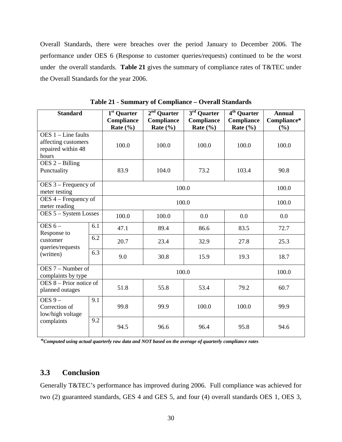Overall Standards, there were breaches over the period January to December 2006. The performance under OES 6 (Response to customer queries/requests) continued to be the worst under the overall standards. **Table 21** gives the summary of compliance rates of T&TEC under the Overall Standards for the year 2006.

| <b>Standard</b>                                                             |     | $\overline{1^{st}}$ Quarter<br>Compliance<br>Rate $(\% )$ | $2nd$ Quarter<br>Compliance<br>Rate $(\% )$ | $3rd$ Quarter<br>Compliance<br>Rate $(\% )$ | $4th$ Quarter<br><b>Compliance</b><br>Rate $(\% )$ | <b>Annual</b><br>Compliance*<br>(%) |
|-----------------------------------------------------------------------------|-----|-----------------------------------------------------------|---------------------------------------------|---------------------------------------------|----------------------------------------------------|-------------------------------------|
| OES $1$ – Line faults<br>affecting customers<br>repaired within 48<br>hours |     | 100.0                                                     | 100.0                                       | 100.0                                       | 100.0                                              | 100.0                               |
| $DES 2 - Billing$<br>Punctuality                                            |     | 83.9                                                      | 104.0<br>73.2<br>103.4                      |                                             |                                                    | 90.8                                |
| OES 3 – Frequency of<br>meter testing                                       |     |                                                           | 100.0                                       |                                             |                                                    | 100.0                               |
| OES 4 – Frequency of<br>meter reading                                       |     |                                                           | 100.0                                       |                                             |                                                    |                                     |
| OES 5 - System Losses                                                       |     | 100.0                                                     | 100.0                                       | 0.0                                         | 0.0                                                | 0.0                                 |
| OES $6-$<br>Response to                                                     | 6.1 | 47.1                                                      | 89.4                                        | 86.6                                        | 83.5                                               | 72.7                                |
| customer<br>queries/requests                                                | 6.2 | 20.7                                                      | 23.4                                        | 32.9                                        | 27.8                                               | 25.3                                |
| (written)                                                                   | 6.3 | 9.0                                                       | 30.8                                        | 15.9                                        | 19.3                                               | 18.7                                |
| $DES 7 - Number of$<br>complaints by type                                   |     |                                                           | 100.0                                       |                                             |                                                    |                                     |
| $DES 8 - Prior notice of$<br>planned outages                                |     | 51.8                                                      | 79.2<br>55.8<br>53.4                        |                                             |                                                    | 60.7                                |
| OES $9-$<br>Correction of<br>low/high voltage                               | 9.1 | 99.8                                                      | 99.9                                        | 100.0                                       | 100.0                                              | 99.9                                |
| complaints                                                                  | 9.2 | 94.5                                                      | 96.6                                        | 96.4                                        | 95.8                                               | 94.6                                |

**Table 21 - Summary of Compliance – Overall Standards**

*\*Computed using actual quarterly raw data and NOT based on the average of quarterly compliance rates*

## <span id="page-33-0"></span>**3.3 Conclusion**

Generally T&TEC's performance has improved during 2006. Full compliance was achieved for two (2) guaranteed standards, GES 4 and GES 5, and four (4) overall standards OES 1, OES 3,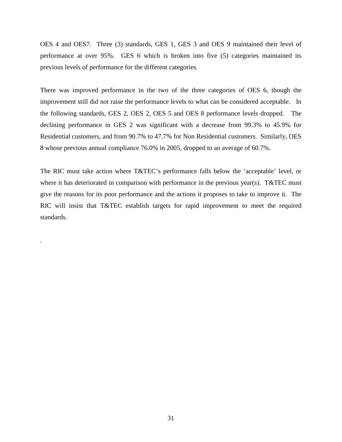OES 4 and OES7. Three (3) standards, GES 1, GES 3 and OES 9 maintained their level of performance at over 95%. GES 6 which is broken into five (5) categories maintained its previous levels of performance for the different categories.

There was improved performance in the two of the three categories of OES 6, though the improvement still did not raise the performance levels to what can be considered acceptable. In the following standards, GES 2, OES 2, OES 5 and OES 8 performance levels dropped. The declining performance in GES 2 was significant with a decrease from 99.3% to 45.9% for Residential customers, and from 90.7% to 47.7% for Non Residential customers. Similarly, OES 8 whose previous annual compliance 76.0% in 2005, dropped to an average of 60.7%.

The RIC must take action where T&TEC's performance falls below the 'acceptable' level, or where it has deteriorated in comparison with performance in the previous year(s). T&TEC must give the reasons for its poor performance and the actions it proposes to take to improve it. The RIC will insist that T&TEC establish targets for rapid improvement to meet the required standards.

.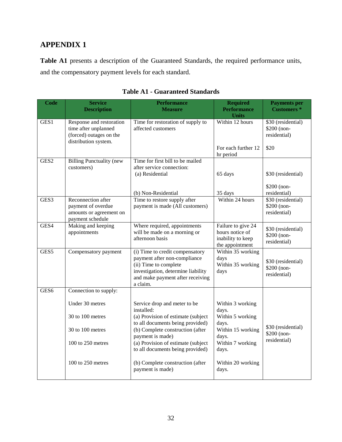# <span id="page-35-0"></span>**APPENDIX 1**

**Table A1** presents a description of the Guaranteed Standards, the required performance units, and the compensatory payment levels for each standard.

<span id="page-35-1"></span>

| <b>Code</b>      | <b>Service</b><br><b>Description</b>                                                                | <b>Performance</b><br><b>Measure</b>                                                                                                                                           | <b>Required</b><br><b>Performance</b><br><b>Units</b>                         | <b>Payments per</b><br><b>Customers</b> *         |
|------------------|-----------------------------------------------------------------------------------------------------|--------------------------------------------------------------------------------------------------------------------------------------------------------------------------------|-------------------------------------------------------------------------------|---------------------------------------------------|
| GES1             | Response and restoration<br>time after unplanned<br>(forced) outages on the<br>distribution system. | Time for restoration of supply to<br>affected customers                                                                                                                        | Within 12 hours                                                               | \$30 (residential)<br>\$200 (non-<br>residential) |
|                  |                                                                                                     |                                                                                                                                                                                | For each further 12<br>hr period                                              | \$20                                              |
| GES2             | <b>Billing Punctuality (new</b><br>customers)                                                       | Time for first bill to be mailed<br>after service connection:<br>(a) Residential                                                                                               | 65 days                                                                       | \$30 (residential)                                |
|                  |                                                                                                     | (b) Non-Residential                                                                                                                                                            | 35 days                                                                       | \$200 (non-<br>residential)                       |
| GES3             | Reconnection after<br>payment of overdue<br>amounts or agreement on<br>payment schedule             | Time to restore supply after<br>payment is made (All customers)                                                                                                                | Within 24 hours                                                               | \$30 (residential)<br>\$200 (non-<br>residential) |
| GES4             | Making and keeping<br>appointments                                                                  | Where required, appointments<br>will be made on a morning or<br>afternoon basis                                                                                                | Failure to give 24<br>hours notice of<br>inability to keep<br>the appointment | \$30 (residential)<br>\$200 (non-<br>residential) |
| GES5             | Compensatory payment                                                                                | (i) Time to credit compensatory<br>payment after non-compliance<br>(ii) Time to complete<br>investigation, determine liability<br>and make payment after receiving<br>a claim. | Within 35 working<br>days<br>Within 35 working<br>days                        | \$30 (residential)<br>\$200 (non-<br>residential) |
| GES <sub>6</sub> | Connection to supply:                                                                               |                                                                                                                                                                                |                                                                               |                                                   |
|                  | Under 30 metres<br>30 to 100 metres                                                                 | Service drop and meter to be<br>installed:<br>(a) Provision of estimate (subject<br>to all documents being provided)                                                           | Within 3 working<br>days.<br>Within 5 working<br>days.                        |                                                   |
|                  | 30 to 100 metres                                                                                    | (b) Complete construction (after<br>payment is made)                                                                                                                           | Within 15 working<br>days.                                                    | \$30 (residential)<br>\$200 (non-                 |
|                  | 100 to 250 metres                                                                                   | (a) Provision of estimate (subject<br>to all documents being provided)                                                                                                         | Within 7 working<br>days.                                                     | residential)                                      |
|                  | 100 to 250 metres                                                                                   | (b) Complete construction (after<br>payment is made)                                                                                                                           | Within 20 working<br>days.                                                    |                                                   |

# **Table A1 - Guaranteed Standards**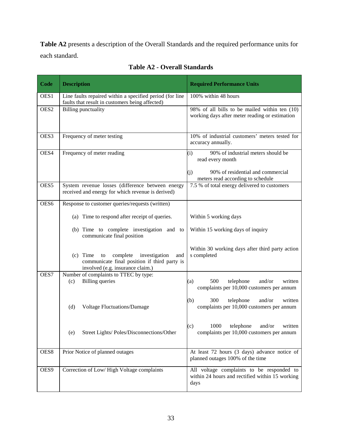**Table A2** presents a description of the Overall Standards and the required performance units for each standard.

<span id="page-36-0"></span>

| <b>Code</b>      | <b>Description</b>                                                                                                                 | <b>Required Performance Units</b>                                                                                                              |
|------------------|------------------------------------------------------------------------------------------------------------------------------------|------------------------------------------------------------------------------------------------------------------------------------------------|
| OES1             | Line faults repaired within a specified period (for line<br>faults that result in customers being affected)                        | 100% within 48 hours                                                                                                                           |
| OES <sub>2</sub> | <b>Billing punctuality</b>                                                                                                         | 98% of all bills to be mailed within ten (10)<br>working days after meter reading or estimation                                                |
| OES3             | Frequency of meter testing                                                                                                         | 10% of industrial customers' meters tested for<br>accuracy annually.                                                                           |
| OES4             | Frequency of meter reading                                                                                                         | 90% of industrial meters should be<br>(i)<br>read every month<br>90% of residential and commercial<br>(i)<br>meters read according to schedule |
| OES5             | System revenue losses (difference between energy<br>received and energy for which revenue is derived)                              | 7.5 % of total energy delivered to customers                                                                                                   |
| OES6             | Response to customer queries/requests (written)                                                                                    |                                                                                                                                                |
|                  | (a) Time to respond after receipt of queries.                                                                                      | Within 5 working days                                                                                                                          |
|                  | (b) Time to complete investigation and to<br>communicate final position                                                            | Within 15 working days of inquiry                                                                                                              |
|                  | $(c)$ Time to<br>complete investigation<br>and<br>communicate final position if third party is<br>involved (e.g. insurance claim.) | Within 30 working days after third party action<br>s completed                                                                                 |
| OES7             | Number of complaints to TTEC by type:<br><b>Billing</b> queries<br>(c)                                                             | 500<br>telephone<br>and/or<br>written<br>(a)<br>complaints per 10,000 customers per annum                                                      |
|                  | <b>Voltage Fluctuations/Damage</b><br>(d)                                                                                          | (b)<br>300<br>telephone<br>and/or<br>written<br>complaints per 10,000 customers per annum                                                      |
|                  | Street Lights/ Poles/Disconnections/Other<br>(e)                                                                                   | 1000 telephone and/or written<br>(c)<br>complaints per 10,000 customers per annum                                                              |
| OES8             | Prior Notice of planned outages                                                                                                    | At least 72 hours (3 days) advance notice of<br>planned outages 100% of the time                                                               |
| OES9             | Correction of Low/High Voltage complaints                                                                                          | All voltage complaints to be responded to<br>within 24 hours and rectified within 15 working<br>days                                           |

**Table A2 - Overall Standards**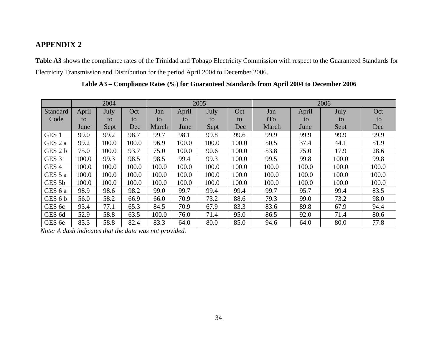# **APPENDIX 2**

**Table A3** shows the compliance rates of the Trinidad and Tobago Electricity Commission with respect to the Guaranteed Standards for Electricity Transmission and Distribution for the period April 2004 to December 2006.

<span id="page-37-0"></span>

|                   |       | 2004  |       | 2005  |       |       |       | 2006  |       |       |       |  |
|-------------------|-------|-------|-------|-------|-------|-------|-------|-------|-------|-------|-------|--|
| Standard          | April | July  | Oct   | Jan   | April | July  | Oct   | Jan   | April | July  | Oct   |  |
| Code              | to    | to    | to    | to    | to    | to    | to    | tTo   | to    | to    | to    |  |
|                   | June  | Sept  | Dec   | March | June  | Sept  | Dec   | March | June  | Sept  | Dec   |  |
| GES <sub>1</sub>  | 99.0  | 99.2  | 98.7  | 99.7  | 98.1  | 99.8  | 99.6  | 99.9  | 99.9  | 99.9  | 99.9  |  |
| GES 2 a           | 99.2  | 100.0 | 100.0 | 96.9  | 100.0 | 100.0 | 100.0 | 50.5  | 37.4  | 44.1  | 51.9  |  |
| GES 2 b           | 75.0  | 100.0 | 93.7  | 75.0  | 100.0 | 90.6  | 100.0 | 53.8  | 75.0  | 17.9  | 28.6  |  |
| GES <sub>3</sub>  | 100.0 | 99.3  | 98.5  | 98.5  | 99.4  | 99.3  | 100.0 | 99.5  | 99.8  | 100.0 | 99.8  |  |
| GES <sub>4</sub>  | 100.0 | 100.0 | 100.0 | 100.0 | 100.0 | 100.0 | 100.0 | 100.0 | 100.0 | 100.0 | 100.0 |  |
| GES 5 a           | 100.0 | 100.0 | 100.0 | 100.0 | 100.0 | 100.0 | 100.0 | 100.0 | 100.0 | 100.0 | 100.0 |  |
| GES <sub>5b</sub> | 100.0 | 100.0 | 100.0 | 100.0 | 100.0 | 100.0 | 100.0 | 100.0 | 100.0 | 100.0 | 100.0 |  |
| GES 6 a           | 98.9  | 98.6  | 98.2  | 99.0  | 99.7  | 99.4  | 99.4  | 99.7  | 95.7  | 99.4  | 83.5  |  |
| GES 6 b           | 56.0  | 58.2  | 66.9  | 66.0  | 70.9  | 73.2  | 88.6  | 79.3  | 99.0  | 73.2  | 98.0  |  |
| GES 6c            | 93.4  | 77.1  | 65.3  | 84.5  | 70.9  | 67.9  | 83.3  | 83.6  | 89.8  | 67.9  | 94.4  |  |
| GES <sub>6d</sub> | 52.9  | 58.8  | 63.5  | 100.0 | 76.0  | 71.4  | 95.0  | 86.5  | 92.0  | 71.4  | 80.6  |  |
| GES 6e            | 85.3  | 58.8  | 82.4  | 83.3  | 64.0  | 80.0  | 85.0  | 94.6  | 64.0  | 80.0  | 77.8  |  |

**Table A3 – Compliance Rates (%) for Guaranteed Standards from April 2004 to December 2006**

<span id="page-37-1"></span>*Note: A dash indicates that the data was not provided.*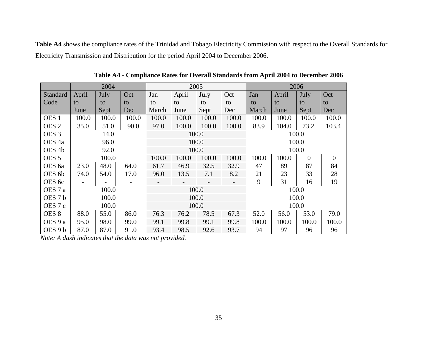**Table A4** shows the compliance rates of the Trinidad and Tobago Electricity Commission with respect to the Overall Standards for Electricity Transmission and Distribution for the period April 2004 to December 2006.

|                   |                          | 2004  |       | 2005                     |       |       |                          | 2006  |       |          |                  |
|-------------------|--------------------------|-------|-------|--------------------------|-------|-------|--------------------------|-------|-------|----------|------------------|
| Standard          | April                    | July  | Oct   | Jan                      | April | July  | Oct                      | Jan   | April | July     | Oct              |
| Code              | to                       | to    | to    | to                       | to    | to    | to                       | to    | to    | to       | to               |
|                   | June                     | Sept  | Dec   | March                    | June  | Sept  | Dec                      | March | June  | Sept     | Dec              |
| OES <sub>1</sub>  | 100.0                    | 100.0 | 100.0 | 100.0                    | 100.0 | 100.0 | 100.0                    | 100.0 | 100.0 | 100.0    | 100.0            |
| OES <sub>2</sub>  | 35.0                     | 51.0  | 90.0  | 97.0                     | 100.0 | 100.0 | 100.0                    | 83.9  | 104.0 | 73.2     | 103.4            |
| OES <sub>3</sub>  |                          | 14.0  |       |                          |       | 100.0 |                          |       |       | 100.0    |                  |
| OES <sub>4a</sub> |                          | 96.0  |       | 100.0                    |       |       | 100.0                    |       |       |          |                  |
| OES <sub>4b</sub> |                          | 92.0  |       | 100.0                    |       |       |                          | 100.0 |       |          |                  |
| OES <sub>5</sub>  | 100.0                    |       |       | 100.0                    | 100.0 | 100.0 | 100.0                    | 100.0 | 100.0 | $\theta$ | $\boldsymbol{0}$ |
| OES <sub>6a</sub> | 23.0                     | 48.0  | 64.0  | 61.7                     | 46.9  | 32.5  | 32.9                     | 47    | 89    | 87       | 84               |
| OES 6b            | 74.0                     | 54.0  | 17.0  | 96.0                     | 13.5  | 7.1   | 8.2                      | 21    | 23    | 33       | 28               |
| OES 6c            | $\overline{\phantom{a}}$ |       | -     | $\overline{\phantom{a}}$ |       |       | $\overline{\phantom{a}}$ | 9     | 31    | 16       | 19               |
| OES 7 a           |                          | 100.0 |       | 100.0                    |       |       | 100.0                    |       |       |          |                  |
| OES <sub>7b</sub> |                          | 100.0 |       | 100.0                    |       |       | 100.0                    |       |       |          |                  |
| OES 7 c           |                          | 100.0 |       | 100.0                    |       |       | 100.0                    |       |       |          |                  |
| OES <sub>8</sub>  | 88.0                     | 55.0  | 86.0  | 76.3                     | 76.2  | 78.5  | 67.3                     | 52.0  | 56.0  | 53.0     | 79.0             |
| OES 9 a           | 95.0                     | 98.0  | 99.0  | 99.1                     | 99.8  | 99.1  | 99.8                     | 100.0 | 100.0 | 100.0    | 100.0            |
| OES 9 b           | 87.0                     | 87.0  | 91.0  | 93.4                     | 98.5  | 92.6  | 93.7                     | 94    | 97    | 96       | 96               |

**Table A4 - Compliance Rates for Overall Standards from April 2004 to December 2006**

<span id="page-38-0"></span>*Note: A dash indicates that the data was not provided.*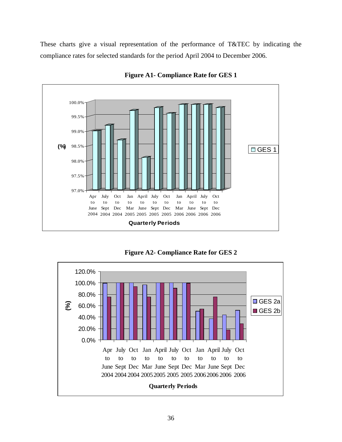These charts give a visual representation of the performance of T&TEC by indicating the compliance rates for selected standards for the period April 2004 to December 2006.

<span id="page-39-0"></span>

**Figure A1- Compliance Rate for GES 1**



<span id="page-39-1"></span>